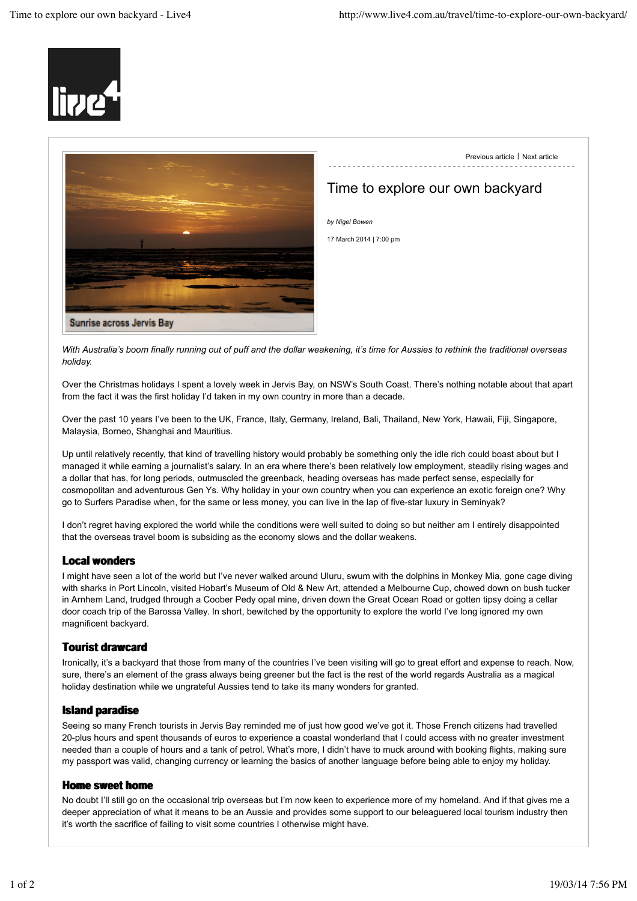



Previous article | Next article

# Time to explore our own backyard

*With Australia's boom finally running out of puff and the dollar weakening, it's time for Aussies to rethink the traditional overseas holiday.*

Over the Christmas holidays I spent a lovely week in Jervis Bay, on NSW's South Coast. There's nothing notable about that apart from the fact it was the first holiday I'd taken in my own country in more than a decade.

Over the past 10 years I've been to the UK, France, Italy, Germany, Ireland, Bali, Thailand, New York, Hawaii, Fiji, Singapore, Malaysia, Borneo, Shanghai and Mauritius.

Up until relatively recently, that kind of travelling history would probably be something only the idle rich could boast about but I managed it while earning a journalist's salary. In an era where there's been relatively low employment, steadily rising wages and a dollar that has, for long periods, outmuscled the greenback, heading overseas has made perfect sense, especially for cosmopolitan and adventurous Gen Ys. Why holiday in your own country when you can experience an exotic foreign one? Why go to Surfers Paradise when, for the same or less money, you can live in the lap of five-star luxury in Seminyak?

I don't regret having explored the world while the conditions were well suited to doing so but neither am I entirely disappointed that the overseas travel boom is subsiding as the economy slows and the dollar weakens.

### **Local wonders**

I might have seen a lot of the world but I've never walked around Uluru, swum with the dolphins in Monkey Mia, gone cage diving with sharks in Port Lincoln, visited Hobart's Museum of Old & New Art, attended a Melbourne Cup, chowed down on bush tucker in Arnhem Land, trudged through a Coober Pedy opal mine, driven down the Great Ocean Road or gotten tipsy doing a cellar door coach trip of the Barossa Valley. In short, bewitched by the opportunity to explore the world I've long ignored my own magnificent backyard.

#### **Tourist drawcard**

Ironically, it's a backyard that those from many of the countries I've been visiting will go to great effort and expense to reach. Now, sure, there's an element of the grass always being greener but the fact is the rest of the world regards Australia as a magical holiday destination while we ungrateful Aussies tend to take its many wonders for granted.

#### **Island paradise**

Seeing so many French tourists in Jervis Bay reminded me of just how good we've got it. Those French citizens had travelled 20-plus hours and spent thousands of euros to experience a coastal wonderland that I could access with no greater investment needed than a couple of hours and a tank of petrol. What's more, I didn't have to muck around with booking flights, making sure my passport was valid, changing currency or learning the basics of another language before being able to enjoy my holiday.

#### **Home sweet home**

No doubt I'll still go on the occasional trip overseas but I'm now keen to experience more of my homeland. And if that gives me a deeper appreciation of what it means to be an Aussie and provides some support to our beleaguered local tourism industry then it's worth the sacrifice of failing to visit some countries I otherwise might have.